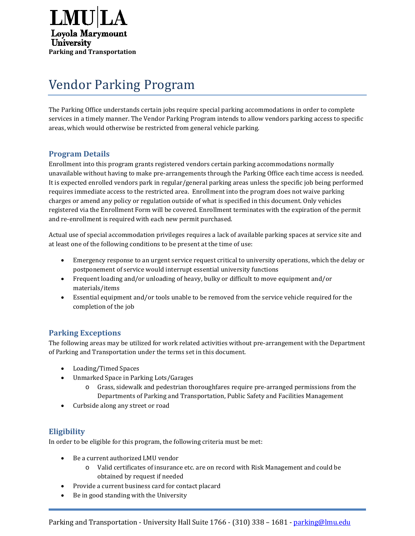

# Vendor Parking Program

The Parking Office understands certain jobs require special parking accommodations in order to complete services in a timely manner. The Vendor Parking Program intends to allow vendors parking access to specific areas, which would otherwise be restricted from general vehicle parking.

# **Program Details**

Enrollment into this program grants registered vendors certain parking accommodations normally unavailable without having to make pre-arrangements through the Parking Office each time access is needed. It is expected enrolled vendors park in regular/general parking areas unless the specific job being performed requires immediate access to the restricted area. Enrollment into the program does not waive parking charges or amend any policy or regulation outside of what is specified in this document. Only vehicles registered via the Enrollment Form will be covered. Enrollment terminates with the expiration of the permit and re-enrollment is required with each new permit purchased.

Actual use of special accommodation privileges requires a lack of available parking spaces at service site and at least one of the following conditions to be present at the time of use:

- Emergency response to an urgent service request critical to university operations, which the delay or postponement of service would interrupt essential university functions
- Frequent loading and/or unloading of heavy, bulky or difficult to move equipment and/or materials/items
- Essential equipment and/or tools unable to be removed from the service vehicle required for the completion of the job

# **Parking Exceptions**

The following areas may be utilized for work related activities without pre-arrangement with the Department of Parking and Transportation under the terms set in this document.

- Loading/Timed Spaces
- Unmarked Space in Parking Lots/Garages
	- o Grass, sidewalk and pedestrian thoroughfares require pre-arranged permissions from the Departments of Parking and Transportation, Public Safety and Facilities Management
- Curbside along any street or road

# **Eligibility**

In order to be eligible for this program, the following criteria must be met:

- Be a current authorized LMU vendor
	- o Valid certificates of insurance etc. are on record with Risk Management and could be obtained by request if needed
- Provide a current business card for contact placard
- Be in good standing with the University